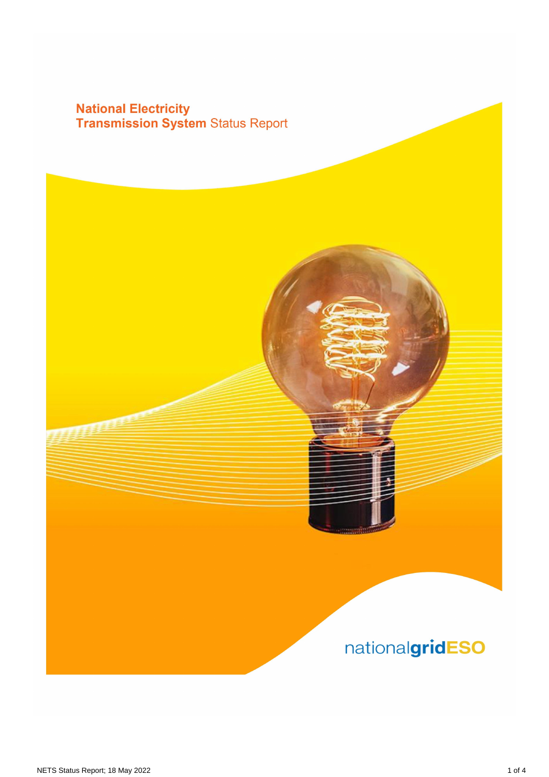# **National Electricity<br>Transmission System Status Report**

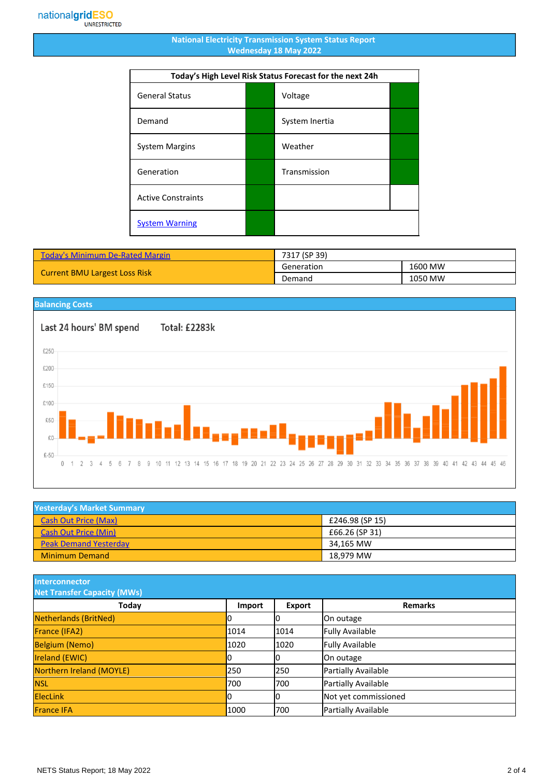### **National Electricity Transmission System Status Report Wednesday 18 May 2022**

| Today's High Level Risk Status Forecast for the next 24h |  |                |  |
|----------------------------------------------------------|--|----------------|--|
| <b>General Status</b>                                    |  | Voltage        |  |
| Demand                                                   |  | System Inertia |  |
| <b>System Margins</b>                                    |  | Weather        |  |
| Generation                                               |  | Transmission   |  |
| <b>Active Constraints</b>                                |  |                |  |
| <b>System Warning</b>                                    |  |                |  |

| <b>Today's Minimum De-Rated Margin</b> | 7317 (SP 39) |         |
|----------------------------------------|--------------|---------|
| <b>Current BMU Largest Loss Risk</b>   | Generation   | 1600 MW |
|                                        | Demand       | 1050 MW |



| <b>Yesterday's Market Summary</b> |                 |
|-----------------------------------|-----------------|
| <b>Cash Out Price (Max)</b>       | £246.98 (SP 15) |
| <b>Cash Out Price (Min)</b>       | £66.26 (SP 31)  |
| <b>Peak Demand Yesterday</b>      | 34.165 MW       |
| <b>Minimum Demand</b>             | 18.979 MW       |

**Interconnector**

| <b>Net Transfer Capacity (MWs)</b> |        |        |                        |
|------------------------------------|--------|--------|------------------------|
| Today                              | Import | Export | <b>Remarks</b>         |
| Netherlands (BritNed)              | ΙU     |        | On outage              |
| France (IFA2)                      | 1014   | 1014   | <b>Fully Available</b> |
| <b>Belgium (Nemo)</b>              | 1020   | 1020   | <b>Fully Available</b> |
| <b>Ireland (EWIC)</b>              | IО     |        | On outage              |
| Northern Ireland (MOYLE)           | 250    | 1250   | Partially Available    |
| <b>NSL</b>                         | 700    | 700    | Partially Available    |
| <b>ElecLink</b>                    | 10     |        | Not yet commissioned   |
| <b>France IFA</b>                  | 1000   | 700    | Partially Available    |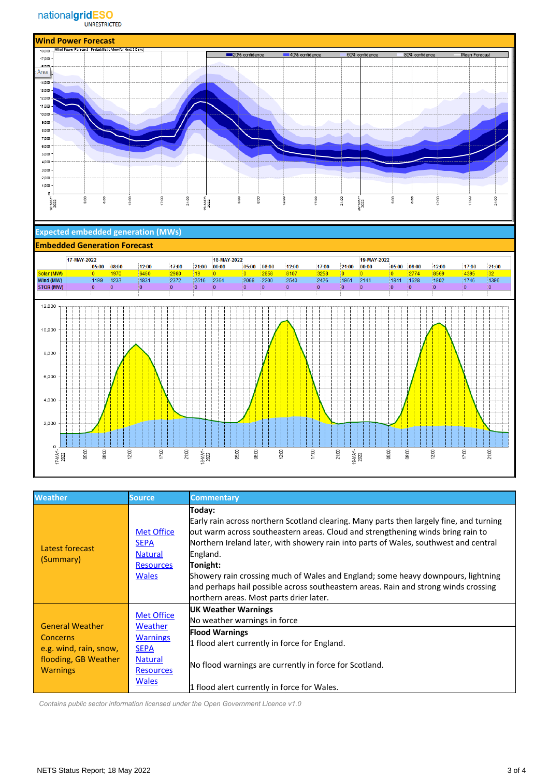

### **Expected embedded generation (MWs)**

#### **Embedded Generation Forecast**



| <b>Weather</b>                                                                                                 | <b>Source</b>                                                                                                        | <b>Commentary</b>                                                                                                                                                                                                                                                                                                                                                                                                                                                                                                          |
|----------------------------------------------------------------------------------------------------------------|----------------------------------------------------------------------------------------------------------------------|----------------------------------------------------------------------------------------------------------------------------------------------------------------------------------------------------------------------------------------------------------------------------------------------------------------------------------------------------------------------------------------------------------------------------------------------------------------------------------------------------------------------------|
| Latest forecast<br>(Summary)                                                                                   | <b>Met Office</b><br><b>SEPA</b><br><b>Natural</b><br><b>Resources</b><br><b>Wales</b>                               | Today:<br>Early rain across northern Scotland clearing. Many parts then largely fine, and turning<br>out warm across southeastern areas. Cloud and strengthening winds bring rain to<br>Northern Ireland later, with showery rain into parts of Wales, southwest and central<br>England.<br>Tonight:<br>Showery rain crossing much of Wales and England; some heavy downpours, lightning<br>and perhaps hail possible across southeastern areas. Rain and strong winds crossing<br>northern areas. Most parts drier later. |
| <b>General Weather</b><br><b>Concerns</b><br>e.g. wind, rain, snow,<br>flooding, GB Weather<br><b>Warnings</b> | <b>Met Office</b><br>Weather<br><b>Warnings</b><br><b>SEPA</b><br><b>Natural</b><br><b>Resources</b><br><b>Wales</b> | <b>UK Weather Warnings</b><br>No weather warnings in force<br><b>Flood Warnings</b><br>1 flood alert currently in force for England.<br>No flood warnings are currently in force for Scotland.<br>1 flood alert currently in force for Wales.                                                                                                                                                                                                                                                                              |

 *Contains public sector information licensed under the Open Government Licence v1.0*